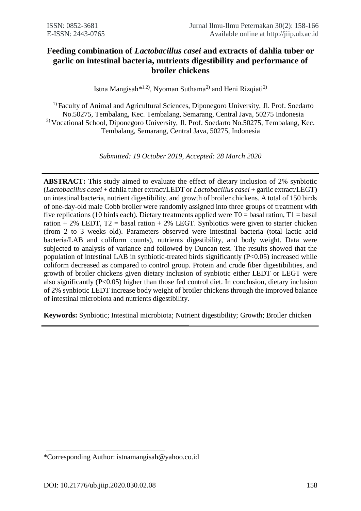# **Feeding combination of** *Lactobacillus casei* **and extracts of dahlia tuber or garlic on intestinal bacteria, nutrients digestibility and performance of broiler chickens**

Istna Mangisah<sup>\*1,2)</sup>, Nyoman Suthama<sup>2)</sup> and Heni Rizqiati<sup>2)</sup>

<sup>1)</sup> Faculty of Animal and Agricultural Sciences, Diponegoro University, Jl. Prof. Soedarto No.50275, Tembalang, Kec. Tembalang, Semarang, Central Java, 50275 Indonesia <sup>2)</sup> Vocational School, Diponegoro University, Jl. Prof. Soedarto No.50275, Tembalang, Kec. Tembalang, Semarang, Central Java, 50275, Indonesia

*Submitted: 19 October 2019, Accepted: 28 March 2020*

**ABSTRACT:** This study aimed to evaluate the effect of dietary inclusion of 2% synbiotic (*Lactobacillus casei* + dahlia tuber extract/LEDT or *Lactobacillus casei* + garlic extract/LEGT) on intestinal bacteria, nutrient digestibility, and growth of broiler chickens. A total of 150 birds of one-day-old male Cobb broiler were randomly assigned into three groups of treatment with five replications (10 birds each). Dietary treatments applied were  $T0 =$  basal ration,  $T1 =$  basal ration + 2% LEDT,  $T2$  = basal ration + 2% LEGT. Synbiotics were given to starter chicken (from 2 to 3 weeks old). Parameters observed were intestinal bacteria (total lactic acid bacteria/LAB and coliform counts), nutrients digestibility, and body weight. Data were subjected to analysis of variance and followed by Duncan test. The results showed that the population of intestinal LAB in synbiotic-treated birds significantly (P<0.05) increased while coliform decreased as compared to control group. Protein and crude fiber digestibilities, and growth of broiler chickens given dietary inclusion of synbiotic either LEDT or LEGT were also significantly (P<0.05) higher than those fed control diet. In conclusion, dietary inclusion of 2% synbiotic LEDT increase body weight of broiler chickens through the improved balance of intestinal microbiota and nutrients digestibility.

**Keywords:** Synbiotic; Intestinal microbiota; Nutrient digestibility; Growth; Broiler chicken

<sup>\*</sup>Corresponding Author: istnamangisah@yahoo.co.id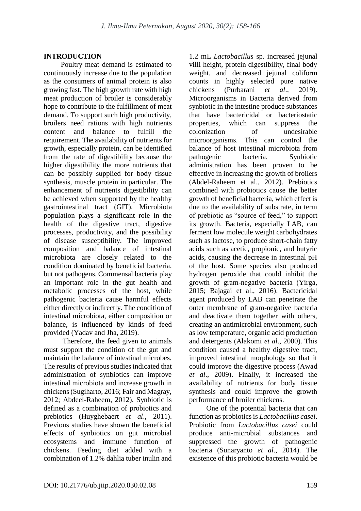#### **INTRODUCTION**

Poultry meat demand is estimated to continuously increase due to the population as the consumers of animal protein is also growing fast. The high growth rate with high meat production of broiler is considerably hope to contribute to the fulfillment of meat demand. To support such high productivity, broilers need rations with high nutrients content and balance to fulfill the requirement. The availability of nutrients for growth, especially protein, can be identified from the rate of digestibility because the higher digestibility the more nutrients that can be possibly supplied for body tissue synthesis, muscle protein in particular. The enhancement of nutrients digestibility can be achieved when supported by the healthy gastrointestinal tract (GIT). Microbiota population plays a significant role in the health of the digestive tract, digestive processes, productivity, and the possibility of disease susceptibility. The improved composition and balance of intestinal microbiota are closely related to the condition dominated by beneficial bacteria, but not pathogens. Commensal bacteria play an important role in the gut health and metabolic processes of the host, while pathogenic bacteria cause harmful effects either directly or indirectly. The condition of intestinal microbiota, either composition or balance, is influenced by kinds of feed provided (Yadav and Jha, 2019).

Therefore, the feed given to animals must support the condition of the gut and maintain the balance of intestinal microbes. The results of previous studies indicated that administration of synbiotics can improve intestinal microbiota and increase growth in chickens (Sugiharto, 2016; Fair and Magray, 2012; Abdeel-Raheem, 2012). Synbiotic is defined as a combination of probiotics and prebiotics (Huyghebaert *et al*., 2011). Previous studies have shown the beneficial effects of synbiotics on gut microbial ecosystems and immune function of chickens. Feeding diet added with a combination of 1.2% dahlia tuber inulin and

1.2 mL *Lactobacillus* sp. increased jejunal villi height, protein digestibility, final body weight, and decreased jejunal coliform counts in highly selected pure native chickens (Purbarani *et al*., 2019). Microorganisms in Bacteria derived from synbiotic in the intestine produce substances that have bactericidal or bacteriostatic which can suppress the colonization of undesirable microorganisms. This can control the balance of host intestinal microbiota from pathogenic bacteria. Synbiotic administration has been proven to be effective in increasing the growth of broilers (Abdel-Raheem et al., 2012). Prebiotics combined with probiotics cause the better growth of beneficial bacteria, which effect is due to the availability of substrate, in term of prebiotic as "source of feed," to support its growth. Bacteria, especially LAB, can ferment low molecule weight carbohydrates such as lactose, to produce short-chain fatty acids such as acetic, propionic, and butyric acids, causing the decrease in intestinal pH of the host. Some species also produced hydrogen peroxide that could inhibit the growth of gram-negative bacteria (Yirga, 2015; Bajagai et al., 2016). Bactericidal agent produced by LAB can penetrate the outer membrane of gram-negative bacteria and deactivate them together with others, creating an antimicrobial environment, such as low temperature, organic acid production and detergents (Alakomi *et al*., 2000). This condition caused a healthy digestive tract, improved intestinal morphology so that it could improve the digestive process (Awad *et al*., 2009). Finally, it increased the availability of nutrients for body tissue synthesis and could improve the growth performance of broiler chickens.

One of the potential bacteria that can function as probiotics is *Lactobacillus casei*. Probiotic from *Lactobacillus casei* could produce anti-microbial substances and suppressed the growth of pathogenic bacteria (Sunaryanto *et al*., 2014). The existence of this probiotic bacteria would be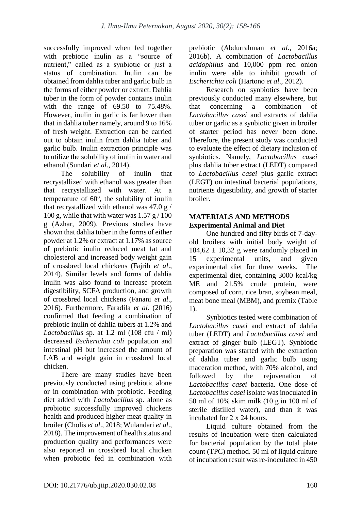successfully improved when fed together with prebiotic inulin as a "source of nutrient," called as a synbiotic or just a status of combination. Inulin can be obtained from dahlia tuber and garlic bulb in the forms of either powder or extract. Dahlia tuber in the form of powder contains inulin with the range of 69.50 to 75.48%. However, inulin in garlic is far lower than that in dahlia tuber namely, around 9 to 16% of fresh weight. Extraction can be carried out to obtain inulin from dahlia tuber and garlic bulb. Inulin extraction principle was to utilize the solubility of inulin in water and ethanol (Sundari *et al*., 2014).

The solubility of inulin that recrystallized with ethanol was greater than that recrystallized with water. At a temperature of 60°, the solubility of inulin that recrystallized with ethanol was 47.0 g / 100 g, while that with water was  $1.57$  g  $/ 100$ g (Azhar, 2009). Previous studies have shown that dahlia tuber in the forms of either powder at 1.2% or extract at 1.17% as source of prebiotic inulin reduced meat fat and cholesterol and increased body weight gain of crossbred local chickens (Fajrih *et al*., 2014). Similar levels and forms of dahlia inulin was also found to increase protein digestibility, SCFA production, and growth of crossbred local chickens (Fanani *et al*., 2016). Furthermore, Faradila *et al*. (2016) confirmed that feeding a combination of prebiotic inulin of dahlia tubers at 1.2% and *Lactobacillus* sp. at 1.2 ml (108 cfu / ml) decreased *Escherichia coli* population and intestinal pH but increased the amount of LAB and weight gain in crossbred local chicken.

There are many studies have been previously conducted using prebiotic alone or in combination with probiotic. Feeding diet added with *Lactobacillus* sp. alone as probiotic successfully improved chickens health and produced higher meat quality in broiler (Cholis *et al*., 2018; Wulandari *et al*., 2018). The improvement of health status and production quality and performances were also reported in crossbred local chicken when probiotic fed in combination with prebiotic (Abdurrahman *et al*., 2016a; 2016b). A combination of *Lactobacillus acidophilus* and 10,000 ppm red onion inulin were able to inhibit growth of *Escherichia coli* (Hartono *et al*., 2012).

Research on synbiotics have been previously conducted many elsewhere, but that concerning a combination of *Lactobacillus casei* and extracts of dahlia tuber or garlic as a synbiotic given in broiler of starter period has never been done. Therefore, the present study was conducted to evaluate the effect of dietary inclusion of synbiotics. Namely, *Lactobacillus casei* plus dahlia tuber extract (LEDT) compared to *Lactobacillus casei* plus garlic extract (LEGT) on intestinal bacterial populations, nutrients digestibility, and growth of starter broiler.

## **MATERIALS AND METHODS Experimental Animal and Diet**

One hundred and fifty birds of 7-dayold broilers with initial body weight of  $184.62 \pm 10.32$  g were randomly placed in 15 experimental units, and given experimental diet for three weeks. The experimental diet, containing 3000 kcal/kg ME and 21.5% crude protein, were composed of corn, rice bran, soybean meal, meat bone meal (MBM), and premix (Table 1).

Synbiotics tested were combination of *Lactobacillus casei* and extract of dahlia tuber (LEDT) and *Lactobacillus casei* and extract of ginger bulb (LEGT). Synbiotic preparation was started with the extraction of dahlia tuber and garlic bulb using maceration method, with 70% alcohol, and followed by the rejuvenation of *Lactobacillus casei* bacteria. One dose of *Lactobacillus casei* isolate was inoculated in 50 ml of 10% skim milk (10 g in 100 ml of sterile distilled water), and than it was incubated for 2 x 24 hours.

Liquid culture obtained from the results of incubation were then calculated for bacterial population by the total plate count (TPC) method. 50 ml of liquid culture of incubation result was re-inoculated in 450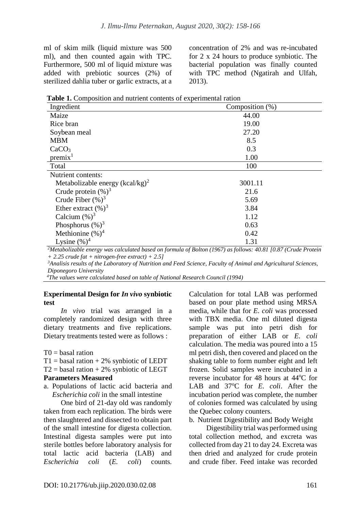ml of skim milk (liquid mixture was 500 ml), and then counted again with TPC. Furthermore, 500 ml of liquid mixture was added with prebiotic sources (2%) of sterilized dahlia tuber or garlic extracts, at a concentration of 2% and was re-incubated for 2 x 24 hours to produce synbiotic. The bacterial population was finally counted with TPC method (Ngatirah and Ulfah, 2013).

| Table 1. Composition and nutrient contents of experimental ration |  |  |  |
|-------------------------------------------------------------------|--|--|--|
|-------------------------------------------------------------------|--|--|--|

| Ingredient                         | Composition (%) |
|------------------------------------|-----------------|
| Maize                              | 44.00           |
| Rice bran                          | 19.00           |
| Soybean meal                       | 27.20           |
| <b>MBM</b>                         | 8.5             |
| CaCO <sub>3</sub>                  | 0.3             |
| premix <sup>1</sup>                | 1.00            |
| Total                              | 100             |
| Nutrient contents:                 |                 |
| Metabolizable energy $(kcal/kg)^2$ | 3001.11         |
| Crude protein $(\%)^3$             | 21.6            |
| Crude Fiber $(\%)^3$               | 5.69            |
| Ether extract $(\%)^3$             | 3.84            |
| Calcium $(\%)^3$                   | 1.12            |
| Phosphorus $(\%)^3$                | 0.63            |
| Methionine $(\%)^4$                | 0.42            |
| Lysine $(\%)^4$                    | 1.31            |

*<sup>2</sup>Metabolizable energy was calculated based on formula of Bolton (1967) as follows: 40.81 [0.87 (Crude Protein + 2.25 crude fat + nitrogen-free extract) + 2.5]*

*<sup>3</sup>Analisis results of the Laboratory of Nutrition and Feed Science, Faculty of Animal and Agricultural Sciences, Diponegoro University*

*<sup>4</sup>The values were calculated based on table of National Research Council (1994)*

#### **Experimental Design for** *In vivo* **synbiotic test**

*In vivo* trial was arranged in a completely randomized design with three dietary treatments and five replications. Dietary treatments tested were as follows :

 $T0 =$  basal ration

- $T1 =$  basal ration + 2% synbiotic of LEDT
- $T2 =$  basal ration + 2% synbiotic of LEGT

#### **Parameters Measured**

a. Populations of lactic acid bacteria and *Escherichia coli* in the small intestine

One bird of 21-day old was randomly taken from each replication. The birds were then slaughtered and dissected to obtain part of the small intestine for digesta collection. Intestinal digesta samples were put into sterile bottles before laboratory analysis for total lactic acid bacteria (LAB) and *Escherichia coli* (*E. coli*) counts. Calculation for total LAB was performed based on pour plate method using MRSA media, while that for *E. coli* was processed with TBX media. One ml diluted digesta sample was put into petri dish for preparation of either LAB or *E. coli* calculation. The media was poured into a 15 ml petri dish, then covered and placed on the shaking table to form number eight and left frozen. Solid samples were incubated in a reverse incubator for 48 hours at 44<sup>o</sup>C for LAB and 37<sup>o</sup>C for *E. coli.* After the incubation period was complete, the number of colonies formed was calculated by using the Quebec colony counters.

b. Nutrient Digestibility and Body Weight

Digestibility trial was performed using total collection method, and excreta was collected from day 21 to day 24. Excreta was then dried and analyzed for crude protein and crude fiber. Feed intake was recorded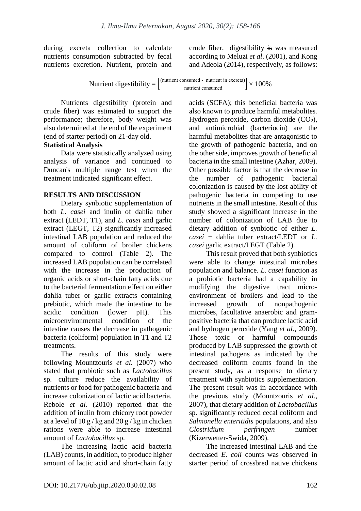during excreta collection to calculate nutrients consumption subtracted by fecal nutrients excretion. Nutrient, protein and crude fiber, digestibility is was measured according to Meluzi *et al*. (2001), and Kong and Adeola (2014), respectively, as follows:

$$
Nutrient digestibility = \left[\frac{\text{(nutrient consumed - nutrient in excreta)}}{\text{nutrient consumed}}\right] \times 100\%
$$

Nutrients digestibility (protein and crude fiber) was estimated to support the performance; therefore, body weight was also determined at the end of the experiment (end of starter period) on 21-day old.

# **Statistical Analysis**

Data were statistically analyzed using analysis of variance and continued to Duncan's multiple range test when the treatment indicated significant effect.

## **RESULTS AND DISCUSSION**

Dietary synbiotic supplementation of both *L. casei* and inulin of dahlia tuber extract (LEDT, T1), and *L. casei* and garlic extract (LEGT, T2) significantly increased intestinal LAB population and reduced the amount of coliform of broiler chickens compared to control (Table 2). The increased LAB population can be correlated with the increase in the production of organic acids or short-chain fatty acids due to the bacterial fermentation effect on either dahlia tuber or garlic extracts containing prebiotic, which made the intestine to be acidic condition (lower pH). This microenvironmental condition of the intestine causes the decrease in pathogenic bacteria (coliform) population in T1 and T2 treatments.

The results of this study were following Mountzouris *et al.* (2007) who stated that probiotic such as *Lactobacillus*  sp. culture reduce the availability of nutrients or food for pathogenic bacteria and increase colonization of lactic acid bacteria. Rebole *et al*. (2010) reported that the addition of inulin from chicory root powder at a level of  $10 g/kg$  and  $20 g/kg$  in chicken rations were able to increase intestinal amount of *Lactobacillus* sp.

The increasing lactic acid bacteria (LAB) counts, in addition, to produce higher amount of lactic acid and short-chain fatty acids (SCFA); this beneficial bacteria was also known to produce harmful metabolites. Hydrogen peroxide, carbon dioxide  $(CO<sub>2</sub>)$ , and antimicrobial (bacteriocin) are the harmful metabolites that are antagonistic to the growth of pathogenic bacteria, and on the other side, improves growth of beneficial bacteria in the small intestine (Azhar, 2009). Other possible factor is that the decrease in the number of pathogenic bacterial colonization is caused by the lost ability of pathogenic bacteria in competing to use nutrients in the small intestine. Result of this study showed a significant increase in the number of colonization of LAB due to dietary addition of synbiotic of either *L. casei* + dahlia tuber extract/LEDT or *L. casei* garlic extract/LEGT (Table 2).

This result proved that both synbiotics were able to change intestinal microbes population and balance*. L. casei* function as a probiotic bacteria had a capability in modifying the digestive tract microenvironment of broilers and lead to the increased growth of nonpathogenic microbes, facultative anaerobic and grampositive bacteria that can produce lactic acid and hydrogen peroxide (Yang *et al*., 2009). Those toxic or harmful compounds produced by LAB suppressed the growth of intestinal pathogens as indicated by the decreased coliform counts found in the present study, as a response to dietary treatment with synbiotics supplementation. The present result was in accordance with the previous study (Mountzouris *et al*., 2007), that dietary addition of *Lactobacillus* sp. significantly reduced cecal coliform and *Salmonella enteritidis* populations, and also *Clostridium perfringen* number (Kizerwetter-Swida, 2009).

The increased intestinal LAB and the decreased *E. coli* counts was observed in starter period of crossbred native chickens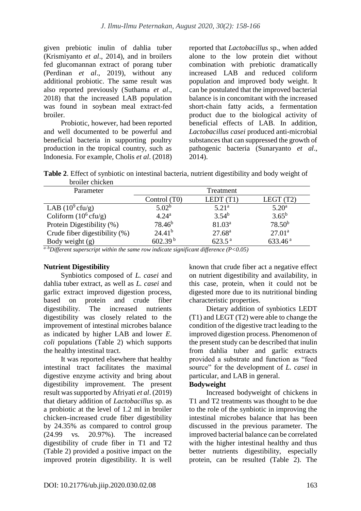given prebiotic inulin of dahlia tuber (Krismiyanto *et al*., 2014), and in broilers fed glucomannan extract of porang tuber (Perdinan *et al*., 2019), without any additional probiotic. The same result was also reported previously (Suthama *et al*., 2018) that the increased LAB population was found in soybean meal extract-fed broiler.

Probiotic, however, had been reported and well documented to be powerful and beneficial bacteria in supporting poultry production in the tropical country, such as Indonesia. For example, Cholis *et al*. (2018) reported that *Lactobacillus* sp., when added alone to the low protein diet without combination with prebiotic dramatically increased LAB and reduced coliform population and improved body weight. It can be postulated that the improved bacterial balance is in concomitant with the increased short-chain fatty acids, a fermentation product due to the biological activity of beneficial effects of LAB. In addition, *Lactobacillus casei* produced anti-microbial substances that can suppressed the growth of pathogenic bacteria (Sunaryanto *et al*., 2014).

| <b>Table 2.</b> Effect of synbiotic on intestinal bacteria, nutrient digestibility and body weight of |  |  |  |
|-------------------------------------------------------------------------------------------------------|--|--|--|
| broiler chicken                                                                                       |  |  |  |

| Parameter                       | Treatment           |                    |                     |  |  |
|---------------------------------|---------------------|--------------------|---------------------|--|--|
|                                 | Control (T0)        | LEDT $(T1)$        | LEGT $(T2)$         |  |  |
| LAB $(10^9 \text{cftu/g})$      | 5.02 <sup>b</sup>   | $5.21^{\rm a}$     | $5.20^{\rm a}$      |  |  |
| Coliform $(10^6 \text{cftu/g})$ | 4.24 <sup>a</sup>   | $3.54^{b}$         | $3.65^{b}$          |  |  |
| Protein Digestibility (%)       | $78.46^{b}$         | 81.03 <sup>a</sup> | $78.50^{b}$         |  |  |
| Crude fiber digestibility (%)   | $24.41^{b}$         | $27.68^{\rm a}$    | $27.01^a$           |  |  |
| Body weight $(g)$               | 602.39 <sup>b</sup> | $623.5^{\text{a}}$ | 633.46 <sup>a</sup> |  |  |

*a–bDifferent superscript within the same row indicate significant difference (P<0.05)*

#### **Nutrient Digestibility**

Synbiotics composed of *L. casei* and dahlia tuber extract, as well as *L. casei* and garlic extract improved digestion process, based on protein and crude fiber digestibility. The increased nutrients digestibility was closely related to the improvement of intestinal microbes balance as indicated by higher LAB and lower *E. coli* populations (Table 2) which supports the healthy intestinal tract.

It was reported elsewhere that healthy intestinal tract facilitates the maximal digestive enzyme activity and bring about digestibility improvement. The present result was supported by Afriyati *et al*. (2019) that dietary addition of *Lactobacillus* sp. as a probiotic at the level of 1.2 ml in broiler chicken-increased crude fiber digestibility by 24.35% as compared to control group (24.99 vs. 20.97%). The increased digestibility of crude fiber in T1 and T2 (Table 2) provided a positive impact on the improved protein digestibility. It is well known that crude fiber act a negative effect on nutrient digestibility and availability, in this case, protein, when it could not be digested more due to its nutritional binding characteristic properties.

Dietary addition of synbiotics LEDT (T1) and LEGT (T2) were able to change the condition of the digestive tract leading to the improved digestion process. Phenomenon of the present study can be described that inulin from dahlia tuber and garlic extracts provided a substrate and function as "feed source" for the development of *L. casei* in particular, and LAB in general.

#### **Bodyweight**

Increased bodyweight of chickens in T1 and T2 treatments was thought to be due to the role of the synbiotic in improving the intestinal microbes balance that has been discussed in the previous parameter. The improved bacterial balance can be correlated with the higher intestinal healthy and thus better nutrients digestibility, especially protein, can be resulted (Table 2). The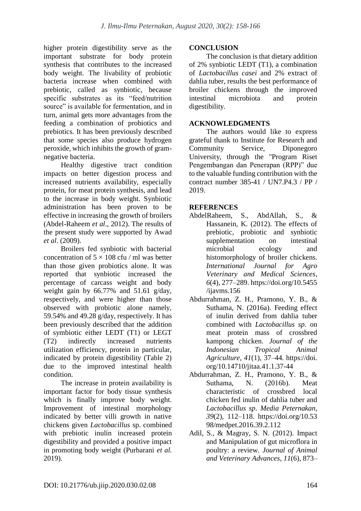higher protein digestibility serve as the important substrate for body protein synthesis that contributes to the increased body weight. The livability of probiotic bacteria increase when combined with prebiotic, called as synbiotic, because specific substrates as its "feed/nutrition source" is available for fermentation, and in turn, animal gets more advantages from the feeding a combination of probiotics and prebiotics. It has been previously described that some species also produce hydrogen peroxide, which inhibits the growth of gramnegative bacteria.

Healthy digestive tract condition impacts on better digestion process and increased nutrients availability, especially protein, for meat protein synthesis, and lead to the increase in body weight. Synbiotic administration has been proven to be effective in increasing the growth of broilers (Abdel-Raheem *et al*., 2012). The results of the present study were supported by Awad *et al*. (2009).

Broilers fed synbiotic with bacterial concentration of  $5 \times 108$  cfu / ml was better than those given probiotics alone. It was reported that synbiotic increased the percentage of carcass weight and body weight gain by 66.77% and 51.61 g/day, respectively, and were higher than those observed with probiotic alone namely, 59.54% and 49.28 g/day, respectively. It has been previously described that the addition of symbiotic either LEDT (T1) or LEGT (T2) indirectly increased nutrients utilization efficiency, protein in particular, indicated by protein digestibility (Table 2) due to the improved intestinal health condition.

The increase in protein availability is important factor for body tissue synthesis which is finally improve body weight. Improvement of intestinal morphology indicated by better villi growth in native chickens given *Lactobacillus* sp. combined with prebiotic inulin increased protein digestibility and provided a positive impact in promoting body weight (Purbarani *et al.* 2019).

## **CONCLUSION**

The conclusion is that dietary addition of 2% synbiotic LEDT (T1), a combination of *Lactobacillus casei* and 2% extract of dahlia tuber, results the best performance of broiler chickens through the improved intestinal microbiota and protein digestibility.

# **ACKNOWLEDGMENTS**

The authors would like to express grateful thank to Institute for Research and Community Service, Diponegoro University, through the "Program Riset Pengembangan dan Penerapan (RPP)" due to the valuable funding contribution with the contract number 385-41 / UN7.P4.3 / PP / 2019.

# **REFERENCES**

- AbdelRaheem, S., AbdAllah, S., & Hassanein, K. (2012). The effects of prebiotic, probiotic and synbiotic supplementation on intestinal microbial ecology and histomorphology of broiler chickens. *International Journal for Agro Veterinary and Medical Sciences*, *6*(4), 277–289. https://doi.org/10.5455 /ijavms.156
- Abdurrahman, Z. H., Pramono, Y. B., & Suthama, N. (2016a). Feeding effect of inulin derived from dahlia tuber combined with *Lactobacillus sp.* on meat protein mass of crossbred kampong chicken. *Journal of the Indonesian Tropical Animal Agriculture*, *41*(1), 37–44. https://doi. org/10.14710/jitaa.41.1.37-44
- Abdurrahman, Z. H., Pramono, Y. B., & Suthama, N. (2016b). Meat characteristic of crossbred local chicken fed inulin of dahlia tuber and *Lactobacillus sp*. *Media Peternakan*, *39*(2), 112–118. https://doi.org/10.53 98/medpet.2016.39.2.112
- Adil, S., & Magray, S. N. (2012). Impact and Manipulation of gut microflora in poultry: a review. *Journal of Animal and Veterinary Advances*, *11*(6), 873–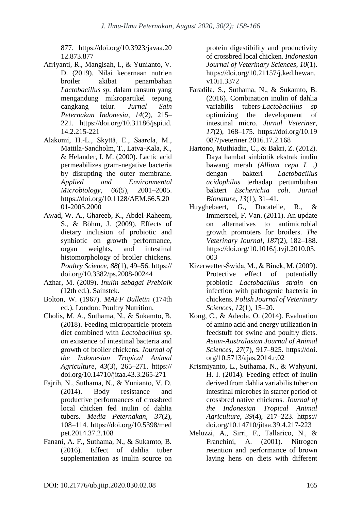877. https://doi.org/10.3923/javaa.20 12.873.877

- Afriyanti, R., Mangisah, I., & Yunianto, V. D. (2019). Nilai kecernaan nutrien broiler akibat penambahan *Lactobacillus sp.* dalam ransum yang mengandung mikropartikel tepung cangkang telur. *Jurnal Sain Peternakan Indonesia*, *14*(2), 215– 221. https://doi.org/10.31186/jspi.id. 14.2.215-221
- Alakomi, H.-L., Skyttä, E., Saarela, M., Mattila-Sandholm, T., Latva-Kala, K., & Helander, I. M. (2000). Lactic acid permeabilizes gram-negative bacteria by disrupting the outer membrane. *Applied and Environmental Microbiology*, *66*(5), 2001–2005. https://doi.org/10.1128/AEM.66.5.20 01-2005.2000
- Awad, W. A., Ghareeb, K., Abdel-Raheem, S., & Böhm, J. (2009). Effects of dietary inclusion of probiotic and synbiotic on growth performance, organ weights, and intestinal histomorphology of broiler chickens. *Poultry Science*, *88*(1), 49–56. https:// doi.org/10.3382/ps.2008-00244
- Azhar, M. (2009). *Inulin sebagai Prebioik* (12th ed.). Sainstek.
- Bolton, W. (1967). *MAFF Bulletin* (174th ed.). London: Poultry Nutrition.
- Cholis, M. A., Suthama, N., & Sukamto, B. (2018). Feeding microparticle protein diet combined with *Lactobacillus sp*. on existence of intestinal bacteria and growth of broiler chickens. *Journal of the Indonesian Tropical Animal Agriculture*, *43*(3), 265–271. https:// doi.org/10.14710/jitaa.43.3.265-271
- Fajrih, N., Suthama, N., & Yunianto, V. D. (2014). Body resistance and productive performances of crossbred local chicken fed inulin of dahlia tubers. *Media Peternakan*, *37*(2), 108–114. https://doi.org/10.5398/med pet.2014.37.2.108
- Fanani, A. F., Suthama, N., & Sukamto, B. (2016). Effect of dahlia tuber supplementation as inulin source on

protein digestibility and productivity of crossbred local chicken. *Indonesian Journal of Veterinary Sciences*, *10*(1). https://doi.org/10.21157/j.ked.hewan. v10i1.3372

- Faradila, S., Suthama, N., & Sukamto, B. (2016). Combination inulin of dahlia variabilis tubers-*Lactobacillus sp*  optimizing the development of intestinal micro. *Jurnal Veteriner*, *17*(2), 168–175. https://doi.org/10.19 087/jveteriner.2016.17.2.168
- Hartono, Muthiadin, C., & Bakri, Z. (2012). Daya hambat sinbiotik ekstrak inulin bawang merah *(Allium cepa L .)*  dengan bakteri *Lactobacillus acidophilus* terhadap pertumbuhan bakteri *Escherichia coli*. *Jurnal Bionature*, *13*(1), 31–41.
- Huyghebaert, G., Ducatelle, R., & Immerseel, F. Van. (2011). An update on alternatives to antimicrobial growth promoters for broilers. *The Veterinary Journal*, *187*(2), 182–188. https://doi.org/10.1016/j.tvjl.2010.03. 003
- Kizerwetter-Świda, M., & Binek, M. (2009). Protective effect of potentially probiotic *Lactobacillus strain* on infection with pathogenic bacteria in chickens. *Polish Journal of Veterinary Sciences*, *12*(1), 15–20.
- Kong, C., & Adeola, O. (2014). Evaluation of amino acid and energy utilization in feedstuff for swine and poultry diets. *Asian-Australasian Journal of Animal Sciences*, *27*(7), 917–925. https://doi. org/10.5713/ajas.2014.r.02
- Krismiyanto, L., Suthama, N., & Wahyuni, H. I. (2014). Feeding effect of inulin derived from dahlia variabilis tuber on intestinal microbes in starter period of crossbred native chickens. *Journal of the Indonesian Tropical Animal Agriculture*, *39*(4), 217–223. https:// doi.org/10.14710/jitaa.39.4.217-223
- Meluzzi, A., Sirri, F., Tallarico, N., & Franchini, A. (2001). Nitrogen retention and performance of brown laying hens on diets with different